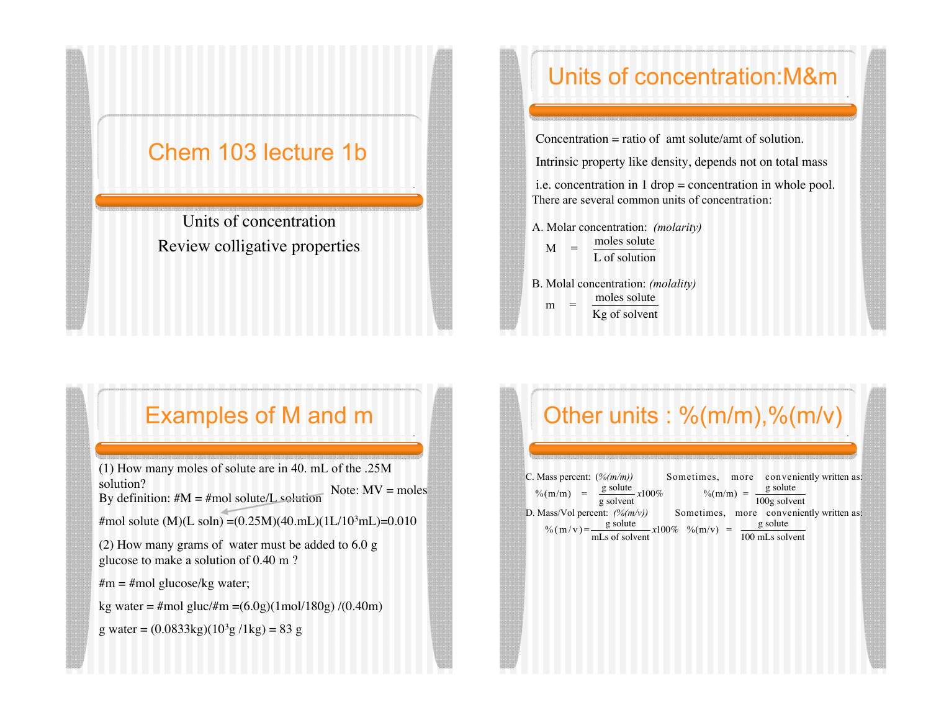#### Chem 103 lecture 1b

Units of concentration Review colligative properties

## Units of concentration:M&m

Concentration  $=$  ratio of amt solute/amt of solution.

Intrinsic property like density, depends not on total mass

i.e. concentration in 1 drop = concentration in whole pool. There are several common units of concentration:

A. Molar concentration: *(molarity)*  $M =$ moles solute L of solution

 $m =$ B. Molal concentration: *(molality)* moles solute Kg of solvent

### Examples of M and m

(1) How many moles of solute are in 40. mL of the .25M solution? By definition:  $#M = #mol$  solute/L solution #mol solute (M)(L soln) =  $(0.25M)(40.mL)(1L/10<sup>3</sup>mL)$  = 0.010 (2) How many grams of water must be added to 6.0 g glucose to make a solution of 0.40 m ?  $\#m = \text{\#mol glucose/kg water};$ kg water = #mol gluc/#m =  $(6.0g)(1 mol/180g)/(0.40m)$ Note:  $MV = moles$ 

g water =  $(0.0833 \text{kg})(10^3 \text{g}/1 \text{kg}) = 83 \text{ g}$ 

# Other units : %(m/m),%(m/v)

| C. Mass percent: $(\frac{\%}{m/m})$                                                                           |                                                                  | Sometimes, more conveniently written as:                     |  |  |  |
|---------------------------------------------------------------------------------------------------------------|------------------------------------------------------------------|--------------------------------------------------------------|--|--|--|
|                                                                                                               | $\%$ (m/m) = $\frac{g \text{ solute}}{g \text{ solvent}} x100\%$ | $\%$ (m/m) = $\frac{g \text{ solute}}{100g \text{ solvent}}$ |  |  |  |
| D. Mass/Vol percent: $(\frac{\%(m\nu)}{\ }$ Sometimes, more conveniently written as:                          |                                                                  |                                                              |  |  |  |
| g solute<br>% $(m/v) = \frac{g \text{ solute}}{mLs \text{ of solvent}} x100\%$ % $(m/v) =$<br>100 mLs solvent |                                                                  |                                                              |  |  |  |
|                                                                                                               |                                                                  |                                                              |  |  |  |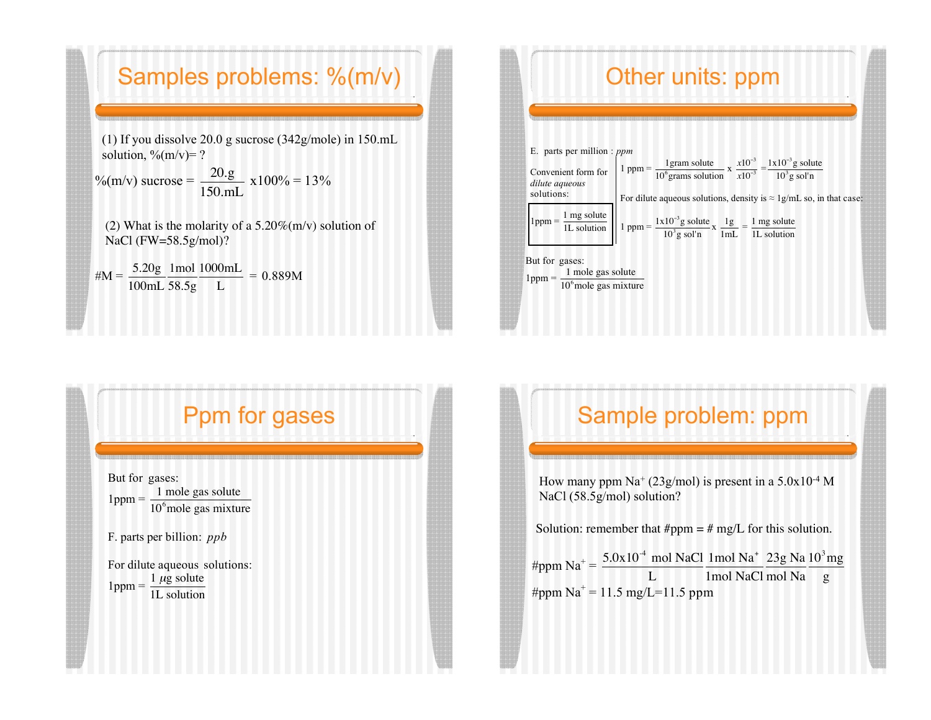#### Samples problems: %(m/v)

(1) If you dissolve 20.0 g sucrose (342g/mole) in 150.mL solution,  $\frac{\%{m}}{v}$  = ?

%(m/v) sucrose =  $\frac{20.g}{150}$ 150.mL  $x100\% = 13\%$ 

(2) What is the molarity of a  $5.20\%(m/v)$  solution of NaCl (FW=58.5g/mol)? !

#M =  $\frac{5.20g}{100g}$ 100mL 1mol 58.5g 1000mL L  $= 0.889M$ 

## Other units: ppm

| E. parts per million : $ppm$                                                              |                                                                                                                                                                                                                                  |
|-------------------------------------------------------------------------------------------|----------------------------------------------------------------------------------------------------------------------------------------------------------------------------------------------------------------------------------|
| dilute aqueous<br>solutions:                                                              | Convenient form for $1$ ppm = $\frac{1 \text{ gram solute}}{10^6 \text{grams solution}} \times \frac{x10^{-3}}{x10^{-3}} = \frac{1 \times 10^{-3} \text{g solute}}{10^3 \text{g sol'n}}$                                         |
|                                                                                           | For dilute aqueous solutions, density is $\approx 1$ g/mL so, in that case:                                                                                                                                                      |
|                                                                                           | 1 ppm = $\frac{1 \text{ mg solute}}{1 \text{ L solution}}$   1 ppm = $\frac{1 \times 10^{-3} \text{ g solute}}{10^{3} \text{ g sol}} \times \frac{1 \text{ g}}{1 \text{ mL}} = \frac{1 \text{ mg solute}}{1 \text{ L solution}}$ |
| But for gases:<br>1ppm = $\frac{1 \text{ mole gas solute}}{10^6 \text{mole gas mixture}}$ |                                                                                                                                                                                                                                  |

#### Ppm for gases

But for gases:  $1$ ppm  $=$ 1 mole gas solute 10<sup>6</sup> mole gas mixture

F. parts per billion: *ppb*

For dilute aqueous solutions:  $1$ ppm =  $\frac{1 \mu g}{1}$  solute 1L solution

### Sample problem: ppm

How many ppm  $\text{Na}^+$  (23g/mol) is present in a 5.0x10<sup>-4</sup> M NaCl (58.5g/mol) solution?

Solution: remember that  $\#ppm = \# mg/L$  for this solution.

#ppm  $\text{Na}^+ = \frac{5.0 \times 10^{-4} \text{ mol NaCl}}{5.0 \times 10^{-4} \text{ mol} \cdot \text{mol}}$ L 1mol Na<sup>+</sup> 1mol NaCl 23g Na mol Na  $\frac{10^3 \text{mg}}{\text{g}}$ #ppm  $\text{Na}^+$  = 11.5 mg/L=11.5 ppm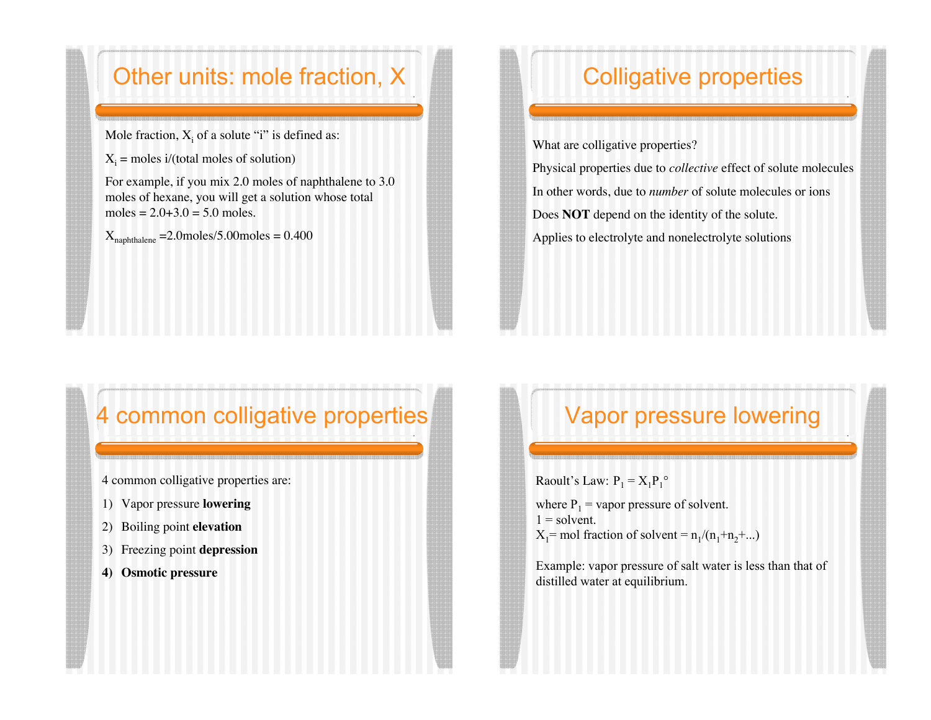### Other units: mole fraction, X

Mole fraction,  $X_i$  of a solute "i" is defined as:

 $X_i$  = moles i/(total moles of solution)

For example, if you mix 2.0 moles of naphthalene to 3.0 moles of hexane, you will get a solution whose total moles =  $2.0+3.0 = 5.0$  moles.

 $X_{naphthalene}$  =2.0moles/5.00moles = 0.400

# Colligative properties

What are colligative properties?

Physical properties due to *collective* effect of solute molecules In other words, due to *number* of solute molecules or ions Does **NOT** depend on the identity of the solute. Applies to electrolyte and nonelectrolyte solutions

## 4 common colligative properties

4 common colligative properties are:

- 1) Vapor pressure **lowering**
- 2) Boiling point **elevation**
- 3) Freezing point **depression**
- **4) Osmotic pressure**

## Vapor pressure lowering

Raoult's Law:  $P_1 = X_1 P_1^{\circ}$ 

where  $P_1$  = vapor pressure of solvent.  $1 =$ solvent.  $X_1$ = mol fraction of solvent =  $n_1/(n_1+n_2+...)$ 

Example: vapor pressure of salt water is less than that of distilled water at equilibrium.